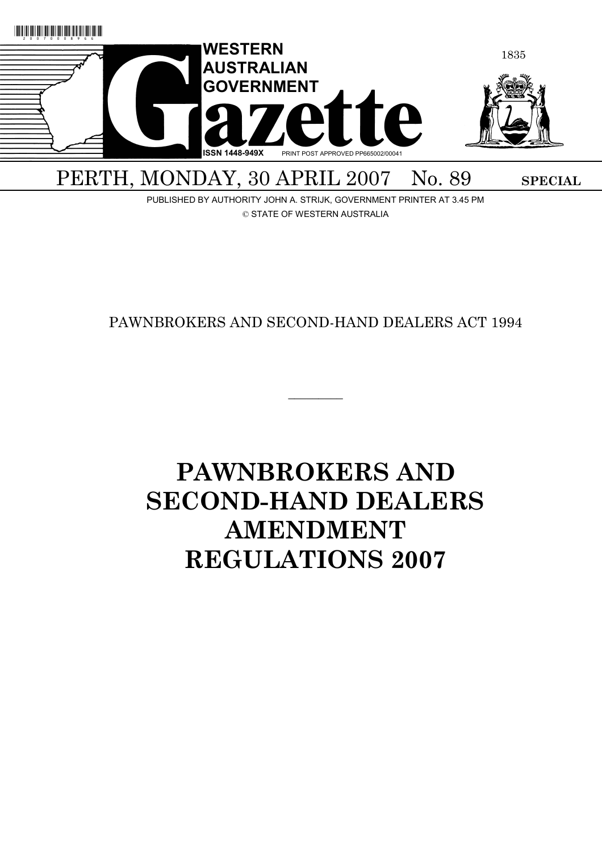

PUBLISHED BY AUTHORITY JOHN A. STRIJK, GOVERNMENT PRINTER AT 3.45 PM © STATE OF WESTERN AUSTRALIA

# PAWNBROKERS AND SECOND-HAND DEALERS ACT 1994

 $\overline{\phantom{a}}$   $\overline{\phantom{a}}$ 

# **PAWNBROKERS AND SECOND-HAND DEALERS AMENDMENT REGULATIONS 2007**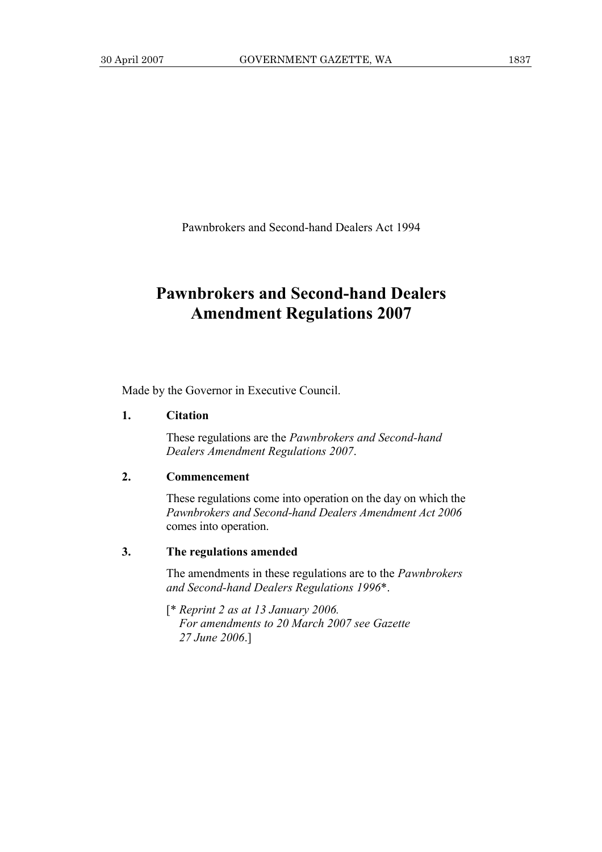Pawnbrokers and Second-hand Dealers Act 1994

# **Pawnbrokers and Second-hand Dealers Amendment Regulations 2007**

Made by the Governor in Executive Council.

#### **1. Citation**

 These regulations are the *Pawnbrokers and Second-hand Dealers Amendment Regulations 2007*.

#### **2. Commencement**

 These regulations come into operation on the day on which the *Pawnbrokers and Second-hand Dealers Amendment Act 2006* comes into operation.

## **3. The regulations amended**

 The amendments in these regulations are to the *Pawnbrokers and Second-hand Dealers Regulations 1996*\*.

 [\* *Reprint 2 as at 13 January 2006. For amendments to 20 March 2007 see Gazette 27 June 2006*.]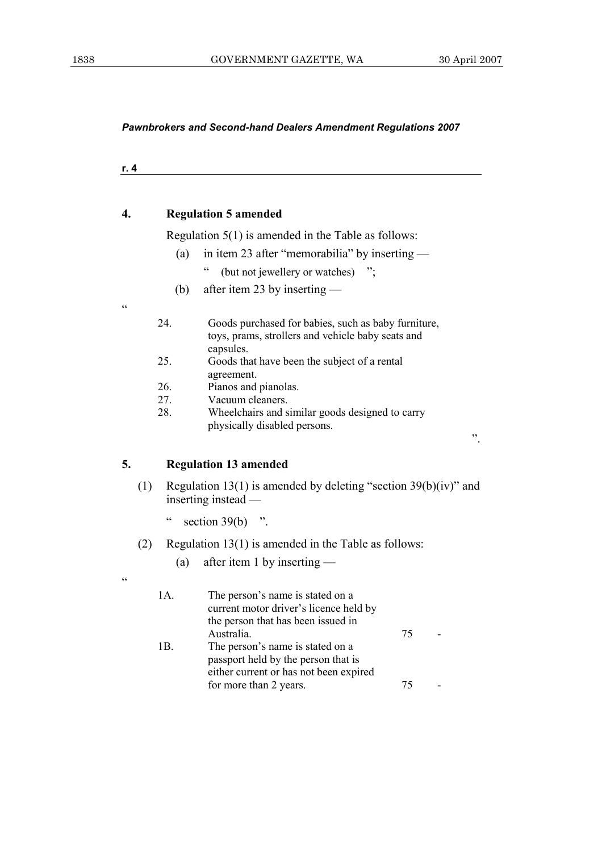*Pawnbrokers and Second-hand Dealers Amendment Regulations 2007* 

|     | <b>Regulation 5 amended</b>                                |
|-----|------------------------------------------------------------|
|     | Regulation $5(1)$ is amended in the Table as follows:      |
| (a) | in item 23 after "memorabilia" by inserting —              |
|     | $\epsilon$<br>(but not jewellery or watches) ";            |
| (b) | after item 23 by inserting $-$                             |
|     |                                                            |
| 24. | Goods purchased for babies, such as baby furniture,        |
|     | toys, prams, strollers and vehicle baby seats and          |
|     | capsules.                                                  |
| 25. | Goods that have been the subject of a rental<br>agreement. |
| 26. | Pianos and pianolas.                                       |
| 27. | Vacuum cleaners.                                           |
| 28. | Wheelchairs and similar goods designed to carry            |
|     | physically disabled persons.                               |

- (1) Regulation 13(1) is amended by deleting "section 39(b)(iv)" and inserting instead —
	- " section  $39(b)$  ".

 $\epsilon$ 

- (2) Regulation 13(1) is amended in the Table as follows:
	- (a) after item 1 by inserting —

| 1A. | The person's name is stated on a<br>current motor driver's licence held by<br>the person that has been issued in  |    |  |
|-----|-------------------------------------------------------------------------------------------------------------------|----|--|
|     | Australia.                                                                                                        | 75 |  |
| 1В. | The person's name is stated on a<br>passport held by the person that is<br>either current or has not been expired |    |  |
|     | for more than 2 years.                                                                                            | 75 |  |
|     |                                                                                                                   |    |  |